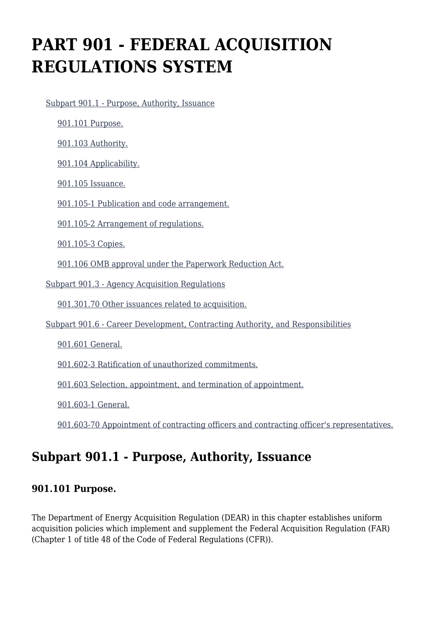# **PART 901 - FEDERAL ACQUISITION REGULATIONS SYSTEM**

[Subpart 901.1 - Purpose, Authority, Issuance](https://www.acquisition.gov/%5Brp:link:dears-part-901%5D#Subpart_901_1_T48_5031821)

[901.101 Purpose.](https://www.acquisition.gov/%5Brp:link:dears-part-901%5D#Section_901_101_T48_503182111)

[901.103 Authority.](https://www.acquisition.gov/%5Brp:link:dears-part-901%5D#Section_901_103_T48_503182112)

[901.104 Applicability.](https://www.acquisition.gov/%5Brp:link:dears-part-901%5D#Section_901_104_T48_503182113)

[901.105 Issuance.](https://www.acquisition.gov/%5Brp:link:dears-part-901%5D#Section_901_105_T48_503182114)

[901.105-1 Publication and code arrangement.](https://www.acquisition.gov/%5Brp:link:dears-part-901%5D#Section_901_105_1_T48_503182115)

[901.105-2 Arrangement of regulations.](https://www.acquisition.gov/%5Brp:link:dears-part-901%5D#Section_901_105_2_T48_503182116)

[901.105-3 Copies.](https://www.acquisition.gov/%5Brp:link:dears-part-901%5D#Section_901_105_3_T48_503182117)

[901.106 OMB approval under the Paperwork Reduction Act.](https://www.acquisition.gov/%5Brp:link:dears-part-901%5D#Section_901_106_T48_503182118)

[Subpart 901.3 - Agency Acquisition Regulations](https://www.acquisition.gov/%5Brp:link:dears-part-901%5D#Subpart_901_3_T48_5031822)

[901.301.70 Other issuances related to acquisition.](https://www.acquisition.gov/%5Brp:link:dears-part-901%5D#Section_901_301_70_T48_503182211)

[Subpart 901.6 - Career Development, Contracting Authority, and Responsibilities](https://www.acquisition.gov/%5Brp:link:dears-part-901%5D#Subpart_901_6_T48_5031823)

[901.601 General.](https://www.acquisition.gov/%5Brp:link:dears-part-901%5D#Section_901_601_T48_503182311)

[901.602-3 Ratification of unauthorized commitments.](https://www.acquisition.gov/%5Brp:link:dears-part-901%5D#Section_901_602_3_T48_503182312)

[901.603 Selection, appointment, and termination of appointment.](https://www.acquisition.gov/%5Brp:link:dears-part-901%5D#Section_901_603_T48_503182313)

[901.603-1 General.](https://www.acquisition.gov/%5Brp:link:dears-part-901%5D#Section_901_603_1_T48_503182314)

[901.603-70 Appointment of contracting officers and contracting officer's representatives.](https://www.acquisition.gov/%5Brp:link:dears-part-901%5D#Section_901_603_70_T48_503182315)

# **Subpart 901.1 - Purpose, Authority, Issuance**

#### **901.101 Purpose.**

The Department of Energy Acquisition Regulation (DEAR) in this chapter establishes uniform acquisition policies which implement and supplement the Federal Acquisition Regulation (FAR) (Chapter 1 of title 48 of the Code of Federal Regulations (CFR)).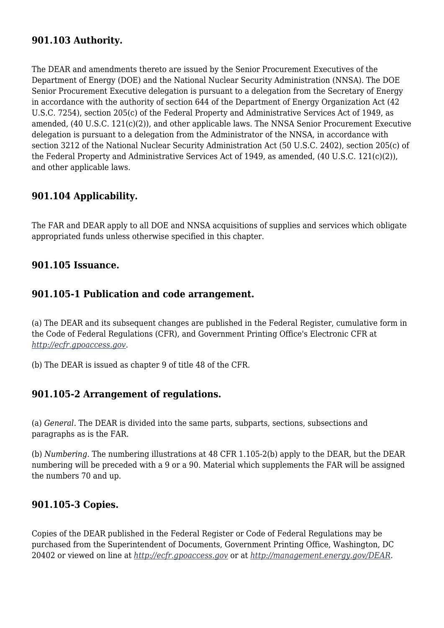## **901.103 Authority.**

The DEAR and amendments thereto are issued by the Senior Procurement Executives of the Department of Energy (DOE) and the National Nuclear Security Administration (NNSA). The DOE Senior Procurement Executive delegation is pursuant to a delegation from the Secretary of Energy in accordance with the authority of section 644 of the Department of Energy Organization Act (42 U.S.C. 7254), section 205(c) of the Federal Property and Administrative Services Act of 1949, as amended, (40 U.S.C. 121(c)(2)), and other applicable laws. The NNSA Senior Procurement Executive delegation is pursuant to a delegation from the Administrator of the NNSA, in accordance with section 3212 of the National Nuclear Security Administration Act (50 U.S.C. 2402), section 205(c) of the Federal Property and Administrative Services Act of 1949, as amended, (40 U.S.C. 121(c)(2)), and other applicable laws.

## **901.104 Applicability.**

The FAR and DEAR apply to all DOE and NNSA acquisitions of supplies and services which obligate appropriated funds unless otherwise specified in this chapter.

#### **901.105 Issuance.**

#### **901.105-1 Publication and code arrangement.**

(a) The DEAR and its subsequent changes are published in the Federal Register, cumulative form in the Code of Federal Regulations (CFR), and Government Printing Office's Electronic CFR at *[http://ecfr.gpoaccess.gov.](http://ecfr.gpoaccess.gov)*

(b) The DEAR is issued as chapter 9 of title 48 of the CFR.

#### **901.105-2 Arrangement of regulations.**

(a) *General.* The DEAR is divided into the same parts, subparts, sections, subsections and paragraphs as is the FAR.

(b) *Numbering.* The numbering illustrations at 48 CFR 1.105-2(b) apply to the DEAR, but the DEAR numbering will be preceded with a 9 or a 90. Material which supplements the FAR will be assigned the numbers 70 and up.

### **901.105-3 Copies.**

Copies of the DEAR published in the Federal Register or Code of Federal Regulations may be purchased from the Superintendent of Documents, Government Printing Office, Washington, DC 20402 or viewed on line at *<http://ecfr.gpoaccess.gov>* or at *[http://management.energy.gov/DEAR.](http://management.energy.gov/DEAR)*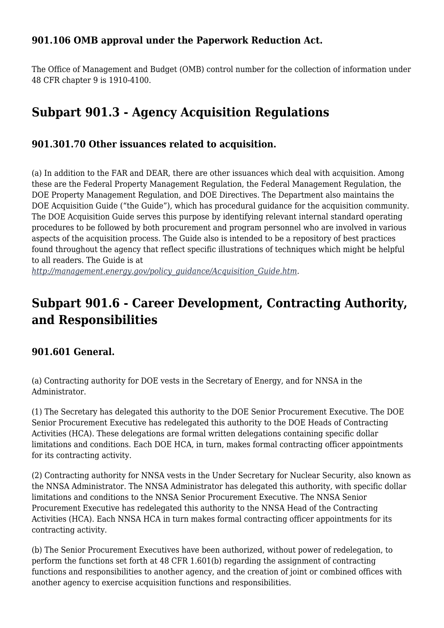## **901.106 OMB approval under the Paperwork Reduction Act.**

The Office of Management and Budget (OMB) control number for the collection of information under 48 CFR chapter 9 is 1910-4100.

# **Subpart 901.3 - Agency Acquisition Regulations**

## **901.301.70 Other issuances related to acquisition.**

(a) In addition to the FAR and DEAR, there are other issuances which deal with acquisition. Among these are the Federal Property Management Regulation, the Federal Management Regulation, the DOE Property Management Regulation, and DOE Directives. The Department also maintains the DOE Acquisition Guide ("the Guide"), which has procedural guidance for the acquisition community. The DOE Acquisition Guide serves this purpose by identifying relevant internal standard operating procedures to be followed by both procurement and program personnel who are involved in various aspects of the acquisition process. The Guide also is intended to be a repository of best practices found throughout the agency that reflect specific illustrations of techniques which might be helpful to all readers. The Guide is at

*[http://management.energy.gov/policy\\_guidance/Acquisition\\_Guide.htm](http://management.energy.gov/policy_guidance/Acquisition_Guide.htm).*

# **Subpart 901.6 - Career Development, Contracting Authority, and Responsibilities**

### **901.601 General.**

(a) Contracting authority for DOE vests in the Secretary of Energy, and for NNSA in the Administrator.

(1) The Secretary has delegated this authority to the DOE Senior Procurement Executive. The DOE Senior Procurement Executive has redelegated this authority to the DOE Heads of Contracting Activities (HCA). These delegations are formal written delegations containing specific dollar limitations and conditions. Each DOE HCA, in turn, makes formal contracting officer appointments for its contracting activity.

(2) Contracting authority for NNSA vests in the Under Secretary for Nuclear Security, also known as the NNSA Administrator. The NNSA Administrator has delegated this authority, with specific dollar limitations and conditions to the NNSA Senior Procurement Executive. The NNSA Senior Procurement Executive has redelegated this authority to the NNSA Head of the Contracting Activities (HCA). Each NNSA HCA in turn makes formal contracting officer appointments for its contracting activity.

(b) The Senior Procurement Executives have been authorized, without power of redelegation, to perform the functions set forth at 48 CFR 1.601(b) regarding the assignment of contracting functions and responsibilities to another agency, and the creation of joint or combined offices with another agency to exercise acquisition functions and responsibilities.